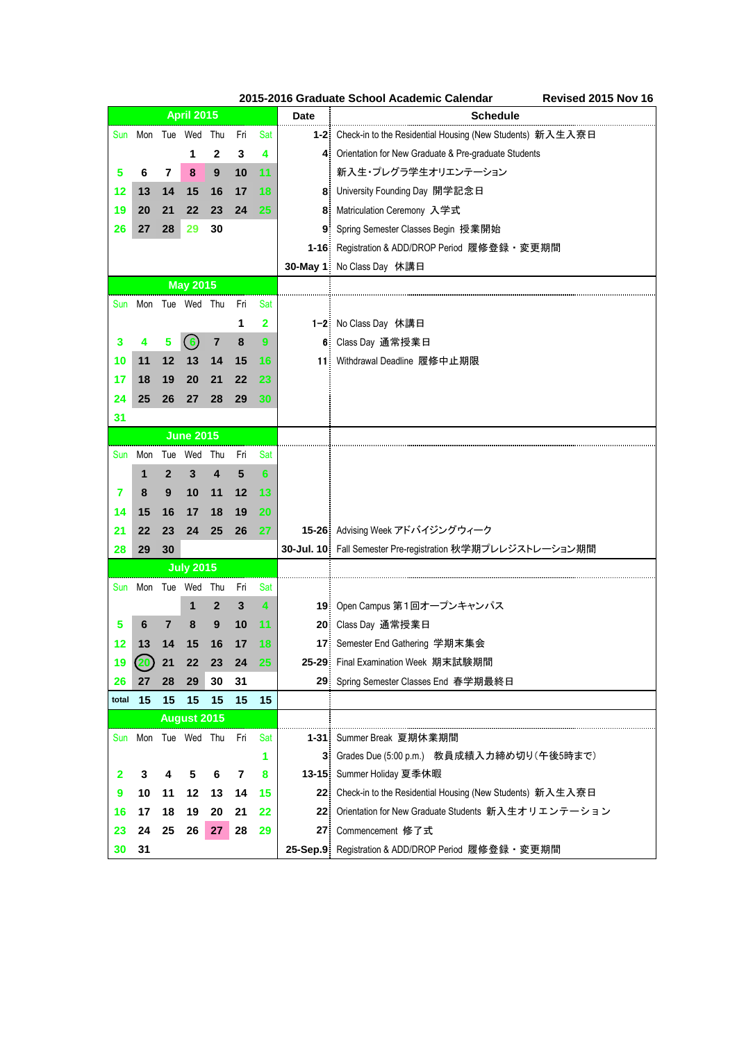|       |                     |              |                    |                |     |           |             | 2015-2016 Graduate School Academic Calendar<br>Revised 2015 Nov 16 |
|-------|---------------------|--------------|--------------------|----------------|-----|-----------|-------------|--------------------------------------------------------------------|
|       |                     |              | <b>April 2015</b>  |                |     |           | <b>Date</b> | Schedule                                                           |
|       | Sun Mon Tue Wed Thu |              |                    |                | Fri | Sat       |             | 1-2 Check-in to the Residential Housing (New Students) 新入生入寮日      |
|       |                     |              | 1                  | 2              | 3   | 4         |             | 4 Orientation for New Graduate & Pre-graduate Students             |
| 5     | 6                   | 7            | 8                  | 9              | 10  | 11        |             | 新入生・プレグラ学生オリエンテーション                                                |
| 12    | 13                  | 14           | 15                 | 16             | 17  | 18        |             | 8 University Founding Day 開学記念日                                    |
| 19    | 20                  | 21           | 22                 | 23             | 24  | 25        |             | 8 Matriculation Ceremony 入学式                                       |
| 26    | 27                  | 28           | 29                 | 30             |     |           |             | 9 Spring Semester Classes Begin 授業開始                               |
|       |                     |              |                    |                |     |           |             | 1-16: Registration & ADD/DROP Period 履修登録 · 変更期間                   |
|       |                     |              |                    |                |     |           |             | 30-May 1: No Class Day 休講日                                         |
|       |                     |              | <b>May 2015</b>    |                |     |           |             |                                                                    |
|       | Sun Mon Tue Wed Thu |              |                    |                | Fri | Sat       |             |                                                                    |
|       |                     |              |                    |                | 1   | 2         |             | 1-2 No Class Day 休講日                                               |
| 3     | 4                   | 5            | (6)                | $\overline{7}$ | 8   | 9         |             | 6 Class Day 通常授業日                                                  |
| 10    | 11                  | 12           | 13                 | 14             | 15  | 16        |             | 11: Withdrawal Deadline 履修中止期限                                     |
| 17    | 18                  | 19           | 20                 | 21             | 22  | 23        |             |                                                                    |
| 24    | 25                  | 26           | 27                 | 28             | 29  | 30        |             |                                                                    |
| 31    |                     |              |                    |                |     |           |             |                                                                    |
|       |                     |              | <b>June 2015</b>   |                |     |           |             |                                                                    |
|       | Sun Mon             |              | Tue Wed Thu        |                | Fri | Sat       |             |                                                                    |
|       | 1                   | $\mathbf{2}$ | 3                  | 4              | 5   | 6         |             |                                                                    |
| 7     | 8                   | 9            | 10                 | 11             | 12  | 13        |             |                                                                    |
| 14    | 15                  | 16           | 17                 | 18             | 19  | 20        |             |                                                                    |
| 21    | 22                  | 23           | 24                 | 25             | 26  | 27        |             | 15-26 Advising Week アドバイジングウィーク                                    |
| 28    | 29                  | 30           |                    |                |     |           |             | 30-Jul. 10 Fall Semester Pre-registration 秋学期プレレジストレーション期間         |
|       |                     |              | <b>July 2015</b>   |                |     |           |             |                                                                    |
|       | Sun Mon Tue Wed Thu |              |                    |                | Fri | Sat       |             |                                                                    |
|       |                     |              | 1                  | 2              | 3   | 4         |             | 19: Open Campus 第1回オープンキャンパス                                       |
| 5     | 6                   | 7            | 8                  | 9              | 10  | 11        |             | 20 Class Day 通常授業日                                                 |
| 12    | 13                  | 14           | 15                 | 16             | 17  | 18        |             | 17 Semester End Gathering 学期末集会                                    |
| 19    | 20                  | 21           | 22                 | 23             | 24  | <b>25</b> |             | 25-29 Final Examination Week 期末試験期間                                |
| 26    | 27                  | 28           | 29                 | 30             | 31  |           |             | 29 Spring Semester Classes End 春学期最終日                              |
| total | 15                  | 15           | 15                 | 15             | 15  | 15        |             |                                                                    |
|       |                     |              | <b>August 2015</b> |                |     |           |             |                                                                    |
|       | Sun Mon Tue Wed Thu |              |                    |                | Fri | Sat       |             | 1-31: Summer Break 夏期休業期間                                          |
|       |                     |              |                    |                |     | 1         |             | 3 Grades Due (5:00 p.m.) 教員成績入力締め切り(午後5時まで)                        |
| 2     | 3                   | 4            | 5                  | 6              | 7   | 8         |             | 13-15 Summer Holiday 夏季休暇                                          |
| 9     | 10                  | 11           | 12                 | 13             | 14  | 15        |             | 22 Check-in to the Residential Housing (New Students) 新入生入寮日       |
| 16    | 17                  | 18           | 19                 | 20             | 21  | 22        |             | 22: Orientation for New Graduate Students 新入生オリエンテーション             |
| 23    | 24                  | 25           | 26                 | 27             | 28  | 29        |             | 27 Commencement 修了式                                                |
| 30    | 31                  |              |                    |                |     |           |             | 25-Sep.9: Registration & ADD/DROP Period 履修登録 · 変更期間               |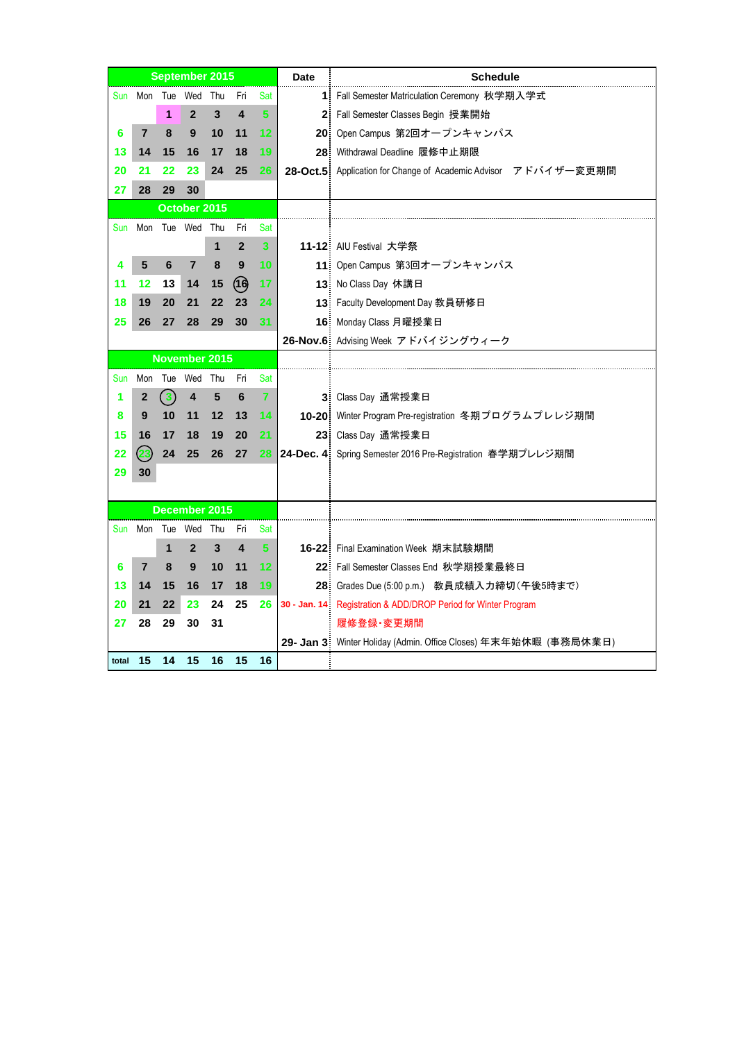|       |                 |              | <b>September 2015</b> |     |                         |     | <b>Date</b> | <b>Schedule</b>                                                  |
|-------|-----------------|--------------|-----------------------|-----|-------------------------|-----|-------------|------------------------------------------------------------------|
|       |                 |              | Sun Mon Tue Wed Thu   |     | Fri                     | Sat |             | 1 Fall Semester Matriculation Ceremony 秋学期入学式                    |
|       |                 | 1            | $\mathbf{2}$          | 3   | 4                       | 5.  |             | 2 Fall Semester Classes Begin 授業開始                               |
| 6     | 7               | 8            | 9                     | 10  | 11                      | 12  |             | 20 Open Campus 第2回オープンキャンパス                                      |
| 13    | 14              | 15           | 16                    | 17  | 18                      | 19  |             | 28. Withdrawal Deadline 履修中止期限                                   |
| 20    | 21              | 22           | 23                    | 24  | 25                      | 26  |             | 28-Oct.5: Application for Change of Academic Advisor アドバイザー変更期間  |
| 27    | 28              | 29           | 30                    |     |                         |     |             |                                                                  |
|       |                 |              | October 2015          |     |                         |     |             |                                                                  |
| Sun   |                 |              | Mon Tue Wed Thu       |     | Fri                     | Sat |             |                                                                  |
|       |                 |              |                       | 1   | $\overline{2}$          | 3   |             | 11-12 AIU Festival 大学祭                                           |
| 4     | 5               | 6            | $\overline{7}$        | 8   | 9                       | 10  |             | 11: Open Campus 第3回オープンキャンパス                                     |
| 11    | $12 \,$         | 13           | 14                    | 15  | (1)                     | 17  |             | 13 No Class Day 休講日                                              |
| 18    | 19              | 20           | 21                    | 22  | 23                      | 24  |             | 13: Faculty Development Day 教員研修日                                |
| 25    | 26              | 27           | 28                    | 29  | 30                      | 31  |             | 16 Monday Class 月曜授業日                                            |
|       |                 |              |                       |     |                         |     |             | 26-Nov.6 Advising Week アドバイジングウィーク                               |
|       |                 |              | November 2015         |     |                         |     |             |                                                                  |
| Sun   |                 |              | Mon Tue Wed Thu       |     | Fri                     | Sat |             |                                                                  |
| 1     | 2               | $\mathbf{3}$ | 4                     | 5   | 6                       | 7   |             | 3 Class Day 通常授業日                                                |
| 8     | 9               | 10           | 11                    | 12  | 13                      | 14  |             | 10-20: Winter Program Pre-registration 冬期プログラムプレレジ期間             |
| 15    | 16              | 17           | 18                    | 19  | 20                      | 21  |             | 23 Class Day 通常授業日                                               |
| 22    | 23              | 24           | 25                    | 26  | 27                      | 28  |             | 24-Dec. 4 Spring Semester 2016 Pre-Registration 春学期プレレジ期間        |
| 29    | 30              |              |                       |     |                         |     |             |                                                                  |
|       |                 |              |                       |     |                         |     |             |                                                                  |
|       |                 |              | December 2015         |     |                         |     |             |                                                                  |
|       | Sun Mon Tue Wed |              |                       | Thu | Fri                     | Sat |             |                                                                  |
|       |                 | 1            | $\mathbf{2}$          | 3   | $\overline{\mathbf{4}}$ | 5.  |             | 16-22 Final Examination Week 期末試験期間                              |
| 6     | 7               | 8            | 9                     | 10  | 11                      | 12  |             | 22: Fall Semester Classes End 秋学期授業最終日                           |
| 13    | 14              | 15           | 16                    | 17  | 18                      | 19  |             | 28: Grades Due (5:00 p.m.) 教員成績入力締切 (午後5時まで)                     |
| 20    | 21              | 22           | 23                    | 24  | 25                      | 26  |             | 30 - Jan. 14 Registration & ADD/DROP Period for Winter Program   |
| 27    | 28              | 29           | 30                    | 31  |                         |     |             | 履修登録·変更期間                                                        |
|       |                 |              |                       |     |                         |     |             | 29- Jan 3: Winter Holiday (Admin. Office Closes) 年末年始休暇 (事務局休業日) |
| total | 15              | 14           | 15                    | 16  | 15                      | 16  |             |                                                                  |